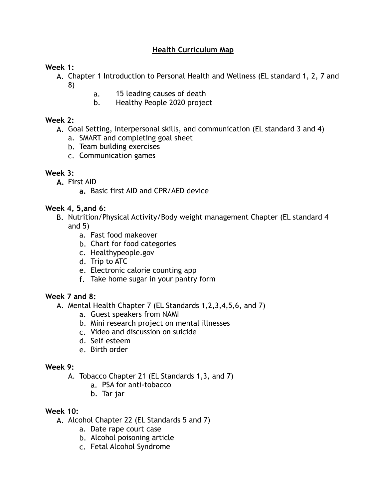# **Health Curriculum Map**

## **Week 1:**

- A. Chapter 1 Introduction to Personal Health and Wellness (EL standard 1, 2, 7 and 8)
	- a. 15 leading causes of death
	- b. Healthy People 2020 project

### **Week 2:**

- A. Goal Setting, interpersonal skills, and communication (EL standard 3 and 4)
	- a. SMART and completing goal sheet
	- b. Team building exercises
	- c. Communication games

### **Week 3:**

- **A.** First AID
	- **a.** Basic first AID and CPR/AED device

### **Week 4, 5,and 6:**

- B. Nutrition/Physical Activity/Body weight management Chapter (EL standard 4 and 5)
	- a. Fast food makeover
	- b. Chart for food categories
	- c. Healthypeople.gov
	- d. Trip to ATC
	- e. Electronic calorie counting app
	- f. Take home sugar in your pantry form

## **Week 7 and 8:**

- A. Mental Health Chapter 7 (EL Standards 1,2,3,4,5,6, and 7)
	- a. Guest speakers from NAMI
	- b. Mini research project on mental illnesses
	- c. Video and discussion on suicide
	- d. Self esteem
	- e. Birth order

#### **Week 9:**

- A. Tobacco Chapter 21 (EL Standards 1,3, and 7)
	- a. PSA for anti-tobacco
	- b. Tar jar

#### **Week 10:**

- A. Alcohol Chapter 22 (EL Standards 5 and 7)
	- a. Date rape court case
	- b. Alcohol poisoning article
	- c. Fetal Alcohol Syndrome